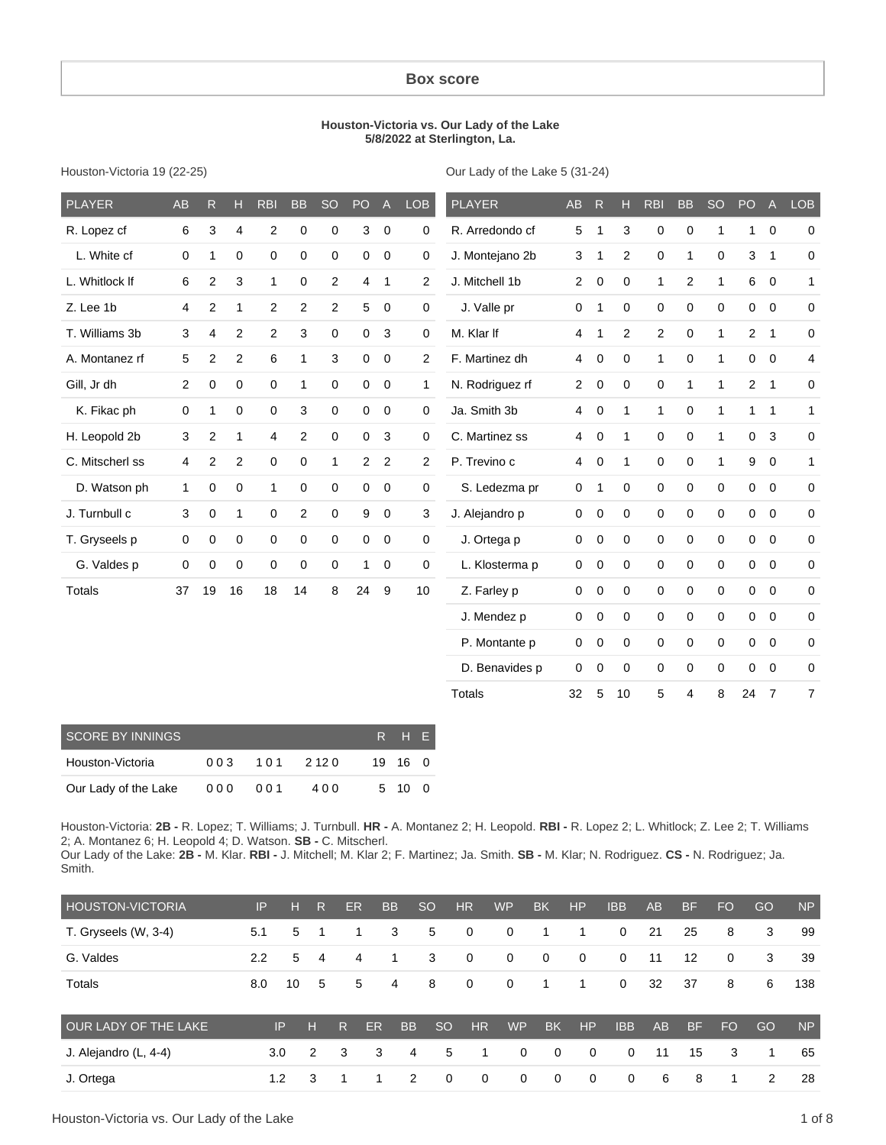#### **Box score**

#### **Houston-Victoria vs. Our Lady of the Lake 5/8/2022 at Sterlington, La.**

Houston-Victoria 19 (22-25)

Our Lady of the Lake 5 (31-24)

| <b>PLAYER</b>   | <b>AB</b>      | R                | Н              | <b>RBI</b>          | <b>BB</b>      | <b>SO</b>   | PO             | $\overline{A}$ | <b>LOB</b>     | <b>PLAYER</b>   | AB             | $\mathsf{R}$ | н            | <b>RBI</b>       | <b>BB</b>      | <b>SO</b>           | PO             | $\overline{A}$ | <b>LOB</b>   |
|-----------------|----------------|------------------|----------------|---------------------|----------------|-------------|----------------|----------------|----------------|-----------------|----------------|--------------|--------------|------------------|----------------|---------------------|----------------|----------------|--------------|
| R. Lopez cf     | 6              | 3                | $\overline{4}$ | $\overline{2}$      | 0              | $\mathbf 0$ | 3              | $\mathbf 0$    | 0              | R. Arredondo cf | 5              | $\mathbf{1}$ | 3            | 0                | 0              | 1                   | $\mathbf{1}$   | $\mathbf 0$    | $\mathbf 0$  |
| L. White cf     | $\mathbf 0$    | 1                | $\mathbf 0$    | $\mathbf 0$         | 0              | $\mathbf 0$ | 0              | $\overline{0}$ | 0              | J. Montejano 2b | 3              | $\mathbf 1$  | 2            | $\mathbf 0$      | 1              | $\mathbf 0$         | 3              | $\mathbf{1}$   | 0            |
| L. Whitlock If  | 6              | $\overline{c}$   | 3              | 1                   | 0              | 2           | 4              | $\mathbf{1}$   | $\mathbf{2}$   | J. Mitchell 1b  | $\overline{2}$ | $\mathbf 0$  | 0            | $\mathbf{1}$     | $\overline{2}$ | 1                   | 6              | $\mathbf 0$    | $\mathbf{1}$ |
| Z. Lee 1b       | 4              | 2                | 1              | 2                   | $\overline{2}$ | 2           | 5              | $\mathbf 0$    | $\mathbf 0$    | J. Valle pr     | 0              | $\mathbf{1}$ | 0            | $\mathbf 0$      | 0              | $\mathbf 0$         | $\mathbf 0$    | $\mathbf 0$    | 0            |
| T. Williams 3b  | 3              | 4                | $\overline{2}$ | $\overline{2}$      | 3              | $\mathbf 0$ | $\mathbf 0$    | $\mathbf{3}$   | 0              | M. Klar If      | $\overline{4}$ | $\mathbf{1}$ | $\mathbf{2}$ | $\overline{2}$   | 0              | $\mathbf{1}$        | $\overline{2}$ | $\overline{1}$ | 0            |
| A. Montanez rf  | 5              | $\overline{c}$   | $\overline{c}$ | 6                   | $\mathbf{1}$   | 3           | 0              | $\overline{0}$ | $\overline{2}$ | F. Martinez dh  | 4              | $\mathbf 0$  | $\mathsf 0$  | $\mathbf{1}$     | 0              | $\mathbf{1}$        | $\overline{0}$ | $\mathbf 0$    | 4            |
| Gill, Jr dh     | $\overline{2}$ | $\mathbf 0$      | $\Omega$       | $\mathbf 0$         | $\mathbf{1}$   | $\mathbf 0$ | 0              | $\mathbf 0$    | 1              | N. Rodriguez rf | $\overline{2}$ | $\mathbf 0$  | $\Omega$     | $\mathbf 0$      | 1              | 1                   |                | 2 <sub>1</sub> | 0            |
| K. Fikac ph     | $\mathbf 0$    | $\mathbf{1}$     | $\mathbf 0$    | $\mathbf 0$         | 3              | $\mathbf 0$ | 0              | $\overline{0}$ | 0              | Ja. Smith 3b    | 4              | $\mathbf 0$  | 1            | $\mathbf{1}$     | 0              | 1                   | $\mathbf{1}$   | $\overline{1}$ | $\mathbf{1}$ |
| H. Leopold 2b   | $\mathbf{3}$   | $\overline{c}$   | 1              | $\overline{4}$      | $\overline{2}$ | $\mathbf 0$ | 0              | 3              | 0              | C. Martinez ss  | $\overline{4}$ | 0            | 1            | 0                | 0              | 1                   | $\mathbf 0$    | $\mathbf{3}$   | 0            |
| C. Mitscherl ss | 4              | $\overline{2}$   | 2              | $\mathbf 0$         | $\mathbf 0$    | 1           | $\overline{2}$ | $\overline{2}$ | 2              | P. Trevino c    | $\overline{4}$ | $\mathbf 0$  | $\mathbf{1}$ | $\mathbf 0$      | 0              | 1                   | 9              | $\mathbf 0$    | $\mathbf{1}$ |
| D. Watson ph    | $\mathbf{1}$   | $\boldsymbol{0}$ | $\mathbf 0$    | $\mathbf{1}$        | $\mathbf 0$    | $\mathbf 0$ | 0              | $\overline{0}$ | $\mathbf 0$    | S. Ledezma pr   | 0              | $\mathbf{1}$ | 0            | $\mathbf{0}$     | 0              | $\mathbf 0$         | $\mathbf 0$    | $\mathbf 0$    | 0            |
| J. Turnbull c   | $\sqrt{3}$     | 0                | 1              | $\mathsf{O}\xspace$ | $\overline{2}$ | $\mathbf 0$ | 9              | $\mathbf 0$    | 3              | J. Alejandro p  | 0              | $\pmb{0}$    | $\mathbf 0$  | $\boldsymbol{0}$ | 0              | $\mathsf{O}\xspace$ | 0              | $\mathbf 0$    | 0            |
| T. Gryseels p   | 0              | 0                | $\mathbf 0$    | $\mathbf 0$         | $\mathbf 0$    | $\mathbf 0$ | 0              | 0              | $\mathbf 0$    | J. Ortega p     | 0              | $\mathbf 0$  | 0            | $\mathbf 0$      | 0              | $\mathbf 0$         | $\mathbf 0$    | $\mathbf 0$    | 0            |
| G. Valdes p     | $\mathbf 0$    | 0                | $\mathbf 0$    | $\mathbf 0$         | 0              | $\mathbf 0$ | $\mathbf{1}$   | $\mathbf 0$    | 0              | L. Klosterma p  | 0              | $\mathbf 0$  | 0            | $\mathbf 0$      | 0              | 0                   | $\mathbf 0$    | $\mathbf 0$    | 0            |
| <b>Totals</b>   | 37             | 19               | 16             | 18                  | 14             | 8           | 24             | 9              | 10             | Z. Farley p     | 0              | 0            | 0            | 0                | 0              | $\mathbf 0$         | $\mathbf 0$    | $\pmb{0}$      | 0            |
|                 |                |                  |                |                     |                |             |                |                |                | J. Mendez p     | 0              | $\mathbf 0$  | 0            | $\mathbf 0$      | 0              | $\mathbf 0$         | $\overline{0}$ | $\mathbf 0$    | 0            |
|                 |                |                  |                |                     |                |             |                |                |                | P. Montante p   | 0              | $\mathbf 0$  | $\mathbf 0$  | $\mathbf 0$      | 0              | $\mathbf 0$         | $\mathbf 0$    | $\mathbf 0$    | 0            |
|                 |                |                  |                |                     |                |             |                |                |                | D. Benavides p  | 0              | 0            | $\mathbf 0$  | 0                | 0              | $\mathbf 0$         | $\mathbf 0$    | $\mathbf 0$    | 0            |
|                 |                |                  |                |                     |                |             |                |                |                | <b>Totals</b>   | 32             | 5            | 10           | 5                | 4              | 8                   | 24             | $\overline{7}$ | 7            |

| <b>SCORE BY INNINGS</b> |     |     |          | R H E   |  |
|-------------------------|-----|-----|----------|---------|--|
| Houston-Victoria        | 003 |     | 101 2120 | 19 16 0 |  |
| Our Lady of the Lake    | 000 | 001 | 4 0 0    | 5 10 0  |  |

Houston-Victoria: **2B -** R. Lopez; T. Williams; J. Turnbull. **HR -** A. Montanez 2; H. Leopold. **RBI -** R. Lopez 2; L. Whitlock; Z. Lee 2; T. Williams 2; A. Montanez 6; H. Leopold 4; D. Watson. **SB -** C. Mitscherl.

Our Lady of the Lake: **2B -** M. Klar. **RBI -** J. Mitchell; M. Klar 2; F. Martinez; Ja. Smith. **SB -** M. Klar; N. Rodriguez. **CS -** N. Rodriguez; Ja. Smith.

| <b>HOUSTON-VICTORIA</b> | IP  | н   | R | ER |    | <b>BB</b> | <b>SO</b>     | <b>HR</b>   | <b>WP</b>   | <b>BK</b>   | <b>HP</b>   | <b>IBB</b>  | <b>AB</b> | <b>BF</b> | <b>FO</b>   | GO | <b>NP</b> |
|-------------------------|-----|-----|---|----|----|-----------|---------------|-------------|-------------|-------------|-------------|-------------|-----------|-----------|-------------|----|-----------|
| T. Gryseels (W, 3-4)    | 5.1 | 5.  | 1 | 1  |    | 3         | 5             | $\mathbf 0$ | $\mathbf 0$ | 1           |             | $\mathbf 0$ | 21        | 25        | 8           | 3  | 99        |
| G. Valdes               | 2.2 | 5   | 4 | 4  |    | 1         | 3             | $\mathbf 0$ | 0           | $\mathbf 0$ | $\mathbf 0$ | $\Omega$    | 11        | 12        | $\mathbf 0$ | 3  | 39        |
| Totals                  | 8.0 | 10  | 5 |    | 5  | 4         | 8             | $\mathbf 0$ | $\mathbf 0$ | 1           |             | $\mathbf 0$ | 32        | 37        | 8           | 6  | 138       |
| OUR LADY OF THE LAKE    |     | IP  | н | R  | ER | <b>BB</b> | <sub>SO</sub> | <b>HR</b>   | <b>WP</b>   | <b>BK</b>   | HP          | <b>IBB</b>  | <b>AB</b> | <b>BF</b> | <b>FO</b>   | GO | <b>NP</b> |
| J. Alejandro (L, 4-4)   |     | 3.0 | 2 | 3  | 3  | 4         | 5             | 1           | 0           | $\mathbf 0$ | $\mathbf 0$ | 0           | 11        | 15        | 3           | 1  | 65        |
| J. Ortega               |     | 1.2 | 3 |    |    | 2         | 0             | $\mathbf 0$ | 0           | $\Omega$    | 0           | 0           | 6         | 8         | 1           | 2  | 28        |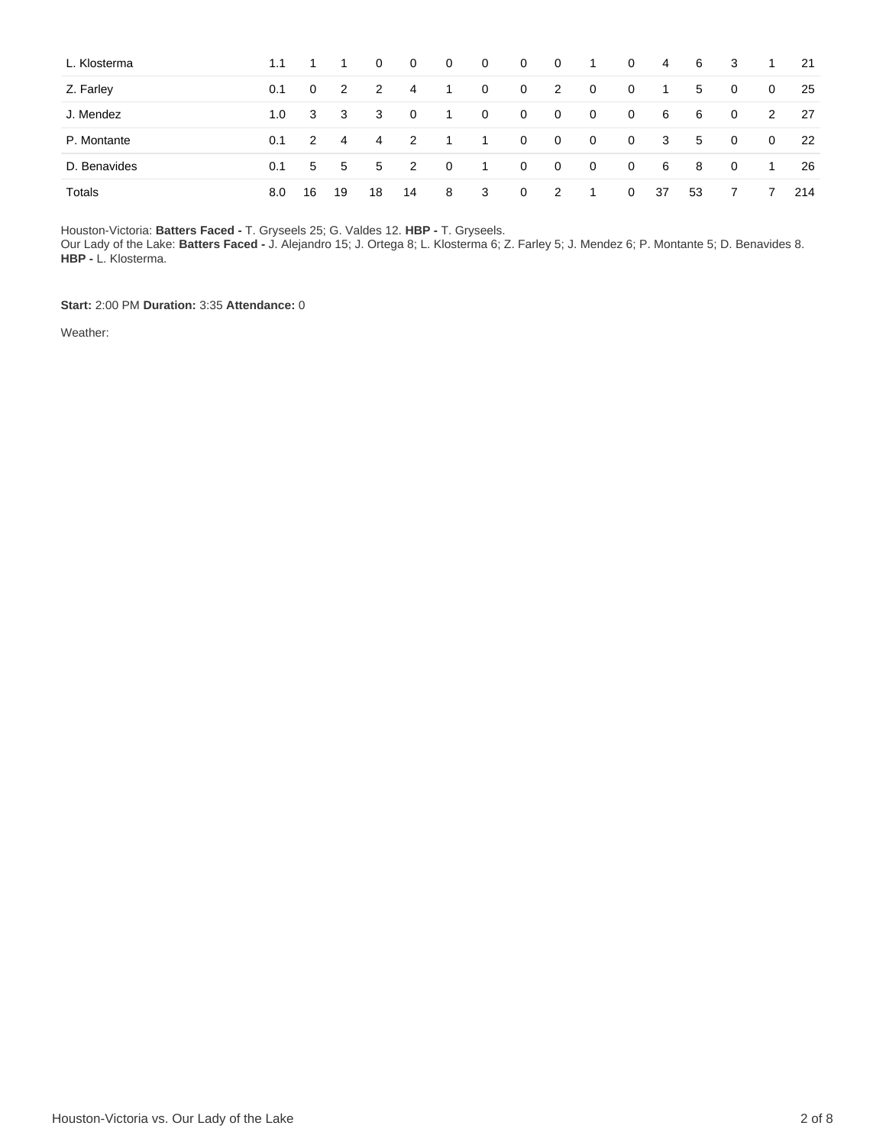| L. Klosterma | 1.1 |                |                         | 0  | $\overline{0}$             | $\mathbf{0}$             | $\overline{0}$ | $\overline{0}$ | $\overline{0}$ | $\overline{1}$ | $\mathbf 0$  | 4            | -6 | - 3            | 1.           | -21 |
|--------------|-----|----------------|-------------------------|----|----------------------------|--------------------------|----------------|----------------|----------------|----------------|--------------|--------------|----|----------------|--------------|-----|
| Z. Farley    | 0.1 | $\overline{0}$ | 2                       | 2  | 4                          | -1                       | $\mathbf{0}$   | $\mathbf{0}$   | 2              | $\overline{0}$ | $\mathbf 0$  | - 1          | 5  | $\overline{0}$ | $\mathbf{0}$ | 25  |
| J. Mendez    | 1.0 | 3              | $\overline{\mathbf{3}}$ | 3  | $\mathbf{0}$               | -1                       | $\mathbf{0}$   | $\mathbf{0}$   | $\overline{0}$ | $\overline{0}$ | 0            | 6            | 6  | $\overline{0}$ | 2            | -27 |
| P. Montante  | 0.1 | $\mathcal{P}$  | -4                      | 4  | $\overline{\phantom{0}}^2$ | $\overline{\phantom{1}}$ | $\overline{1}$ | $\overline{0}$ | $\overline{0}$ | $\overline{0}$ | $\mathbf 0$  | $\mathbf{3}$ | 5  | $\mathbf 0$    | $\mathbf{0}$ | 22  |
| D. Benavides | 0.1 | 5 <sup>1</sup> | 5 <sup>5</sup>          | 5  | $\overline{\phantom{0}}^2$ | $\overline{0}$           | $\overline{1}$ | $\overline{0}$ | $\overline{0}$ | $\overline{0}$ | 0            | 6            | 8  | - 0            | 1            | 26  |
| Totals       | 8.0 | 16             | 19                      | 18 | 14                         | 8                        | 3              | $\mathbf{0}$   | 2              | - 1            | $\mathbf{0}$ | -37          | 53 |                | 7            | 214 |

Houston-Victoria: **Batters Faced -** T. Gryseels 25; G. Valdes 12. **HBP -** T. Gryseels.

Our Lady of the Lake: **Batters Faced -** J. Alejandro 15; J. Ortega 8; L. Klosterma 6; Z. Farley 5; J. Mendez 6; P. Montante 5; D. Benavides 8. **HBP -** L. Klosterma.

**Start:** 2:00 PM **Duration:** 3:35 **Attendance:** 0

Weather: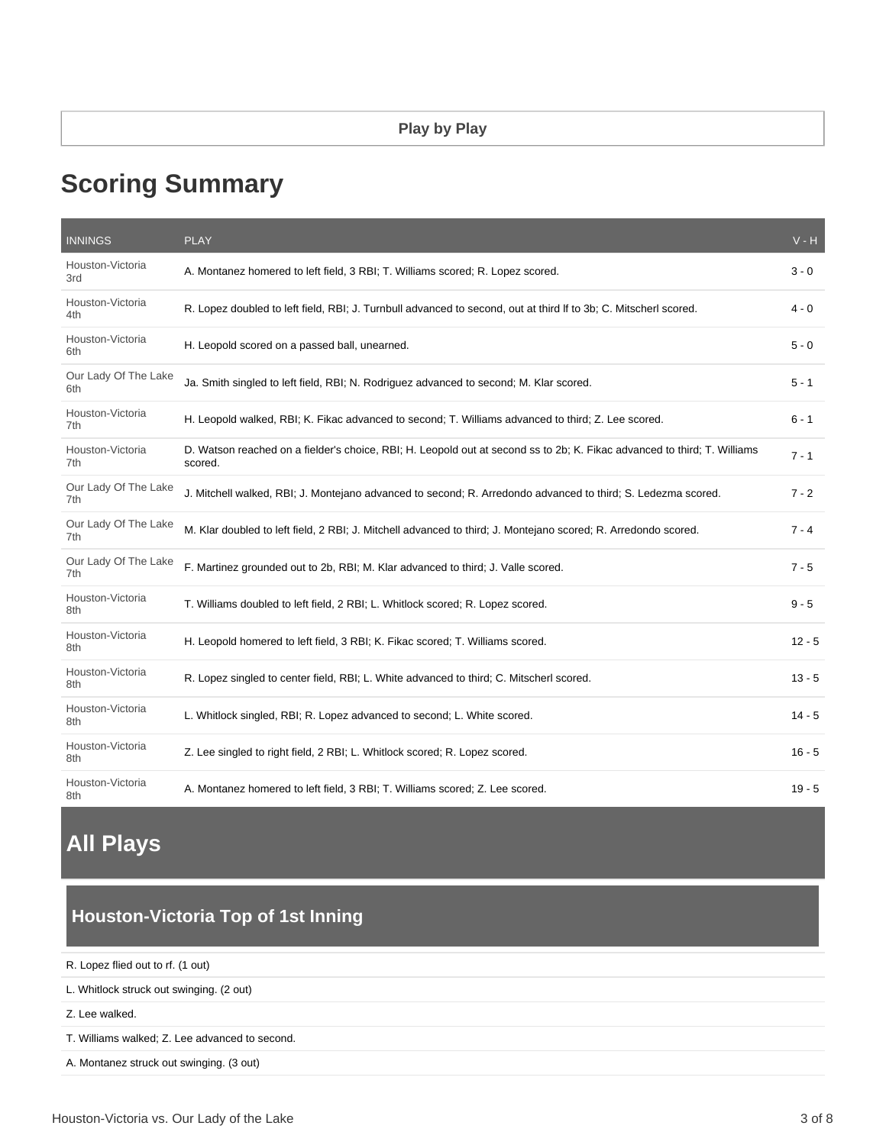# **Scoring Summary**

| <b>INNINGS</b>              | <b>PLAY</b>                                                                                                                         | $V - H$  |
|-----------------------------|-------------------------------------------------------------------------------------------------------------------------------------|----------|
| Houston-Victoria<br>3rd     | A. Montanez homered to left field, 3 RBI; T. Williams scored; R. Lopez scored.                                                      | $3 - 0$  |
| Houston-Victoria<br>4th     | R. Lopez doubled to left field, RBI; J. Turnbull advanced to second, out at third If to 3b; C. Mitscherl scored.                    | $4 - 0$  |
| Houston-Victoria<br>6th     | H. Leopold scored on a passed ball, unearned.                                                                                       | $5 - 0$  |
| Our Lady Of The Lake<br>6th | Ja. Smith singled to left field, RBI; N. Rodriguez advanced to second; M. Klar scored.                                              | $5 - 1$  |
| Houston-Victoria<br>7th     | H. Leopold walked, RBI; K. Fikac advanced to second; T. Williams advanced to third; Z. Lee scored.                                  | $6 - 1$  |
| Houston-Victoria<br>7th     | D. Watson reached on a fielder's choice, RBI; H. Leopold out at second ss to 2b; K. Fikac advanced to third; T. Williams<br>scored. | $7 - 1$  |
| Our Lady Of The Lake<br>7th | J. Mitchell walked, RBI; J. Montejano advanced to second; R. Arredondo advanced to third; S. Ledezma scored.                        | $7 - 2$  |
| Our Lady Of The Lake<br>7th | M. Klar doubled to left field, 2 RBI; J. Mitchell advanced to third; J. Montejano scored; R. Arredondo scored.                      | $7 - 4$  |
| Our Lady Of The Lake<br>7th | F. Martinez grounded out to 2b, RBI; M. Klar advanced to third; J. Valle scored.                                                    | $7 - 5$  |
| Houston-Victoria<br>8th     | T. Williams doubled to left field, 2 RBI; L. Whitlock scored; R. Lopez scored.                                                      | $9 - 5$  |
| Houston-Victoria<br>8th     | H. Leopold homered to left field, 3 RBI; K. Fikac scored; T. Williams scored.                                                       | $12 - 5$ |
| Houston-Victoria<br>8th     | R. Lopez singled to center field, RBI; L. White advanced to third; C. Mitscherl scored.                                             | $13 - 5$ |
| Houston-Victoria<br>8th     | L. Whitlock singled, RBI; R. Lopez advanced to second; L. White scored.                                                             | $14 - 5$ |
| Houston-Victoria<br>8th     | Z. Lee singled to right field, 2 RBI; L. Whitlock scored; R. Lopez scored.                                                          | $16 - 5$ |
| Houston-Victoria<br>8th     | A. Montanez homered to left field, 3 RBI; T. Williams scored; Z. Lee scored.                                                        | $19 - 5$ |

## **All Plays**

### **Houston-Victoria Top of 1st Inning**

R. Lopez flied out to rf. (1 out)

L. Whitlock struck out swinging. (2 out)

Z. Lee walked.

T. Williams walked; Z. Lee advanced to second.

A. Montanez struck out swinging. (3 out)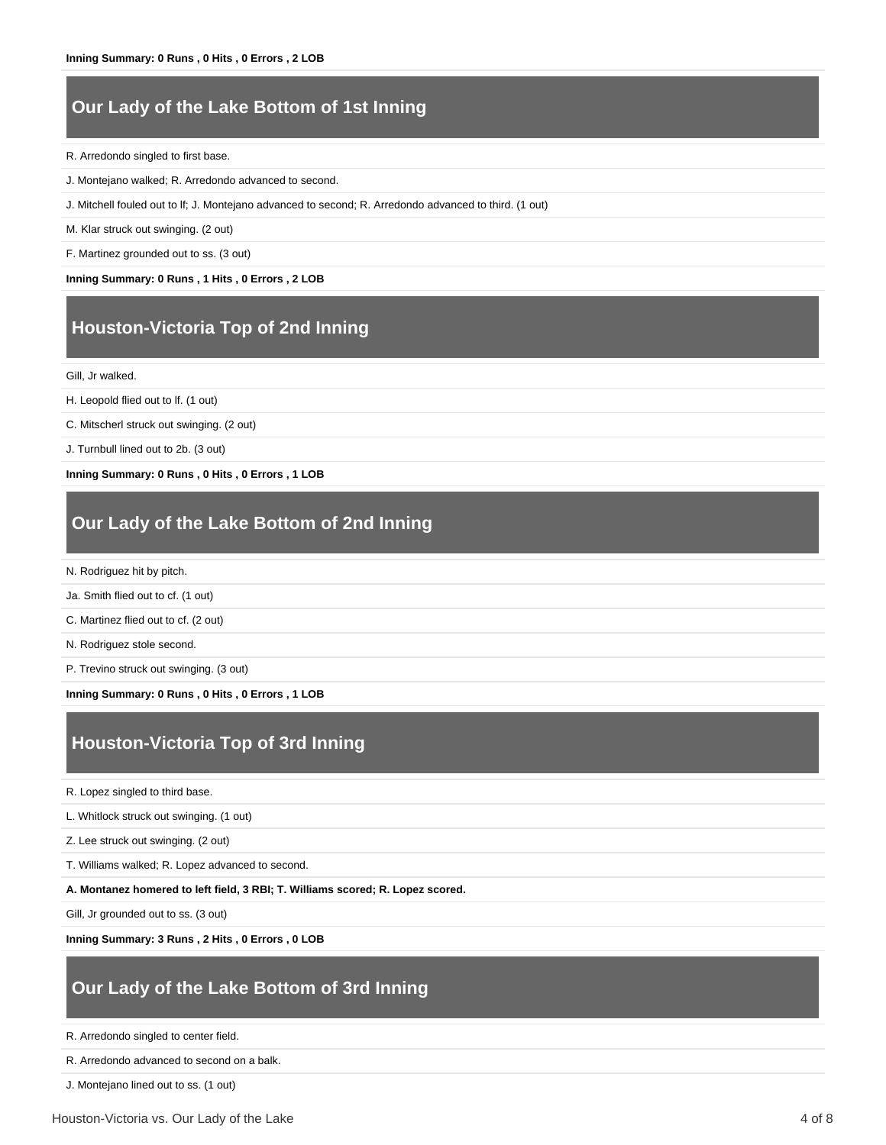### **Our Lady of the Lake Bottom of 1st Inning**

R. Arredondo singled to first base.

- J. Montejano walked; R. Arredondo advanced to second.
- J. Mitchell fouled out to lf; J. Montejano advanced to second; R. Arredondo advanced to third. (1 out)

M. Klar struck out swinging. (2 out)

F. Martinez grounded out to ss. (3 out)

**Inning Summary: 0 Runs , 1 Hits , 0 Errors , 2 LOB**

### **Houston-Victoria Top of 2nd Inning**

Gill, Jr walked.

H. Leopold flied out to lf. (1 out)

C. Mitscherl struck out swinging. (2 out)

J. Turnbull lined out to 2b. (3 out)

**Inning Summary: 0 Runs , 0 Hits , 0 Errors , 1 LOB**

#### **Our Lady of the Lake Bottom of 2nd Inning**

N. Rodriguez hit by pitch.

Ja. Smith flied out to cf. (1 out)

C. Martinez flied out to cf. (2 out)

N. Rodriguez stole second.

P. Trevino struck out swinging. (3 out)

**Inning Summary: 0 Runs , 0 Hits , 0 Errors , 1 LOB**

#### **Houston-Victoria Top of 3rd Inning**

R. Lopez singled to third base.

L. Whitlock struck out swinging. (1 out)

Z. Lee struck out swinging. (2 out)

T. Williams walked; R. Lopez advanced to second.

**A. Montanez homered to left field, 3 RBI; T. Williams scored; R. Lopez scored.**

Gill, Jr grounded out to ss. (3 out)

**Inning Summary: 3 Runs , 2 Hits , 0 Errors , 0 LOB**

#### **Our Lady of the Lake Bottom of 3rd Inning**

R. Arredondo singled to center field.

R. Arredondo advanced to second on a balk.

J. Montejano lined out to ss. (1 out)

Houston-Victoria vs. Our Lady of the Lake 4 of 8 and 4 of 8 and 4 of 8 and 4 of 8 and 4 of 8 and 4 of 8 and 4 of 8 and 4 of 8 and 4 of 8 and 4 of 8 and 4 of 8 and 4 of 8 and 4 of 8 and 4 of 8 and 4 of 8 and 4 of 8 and 4 of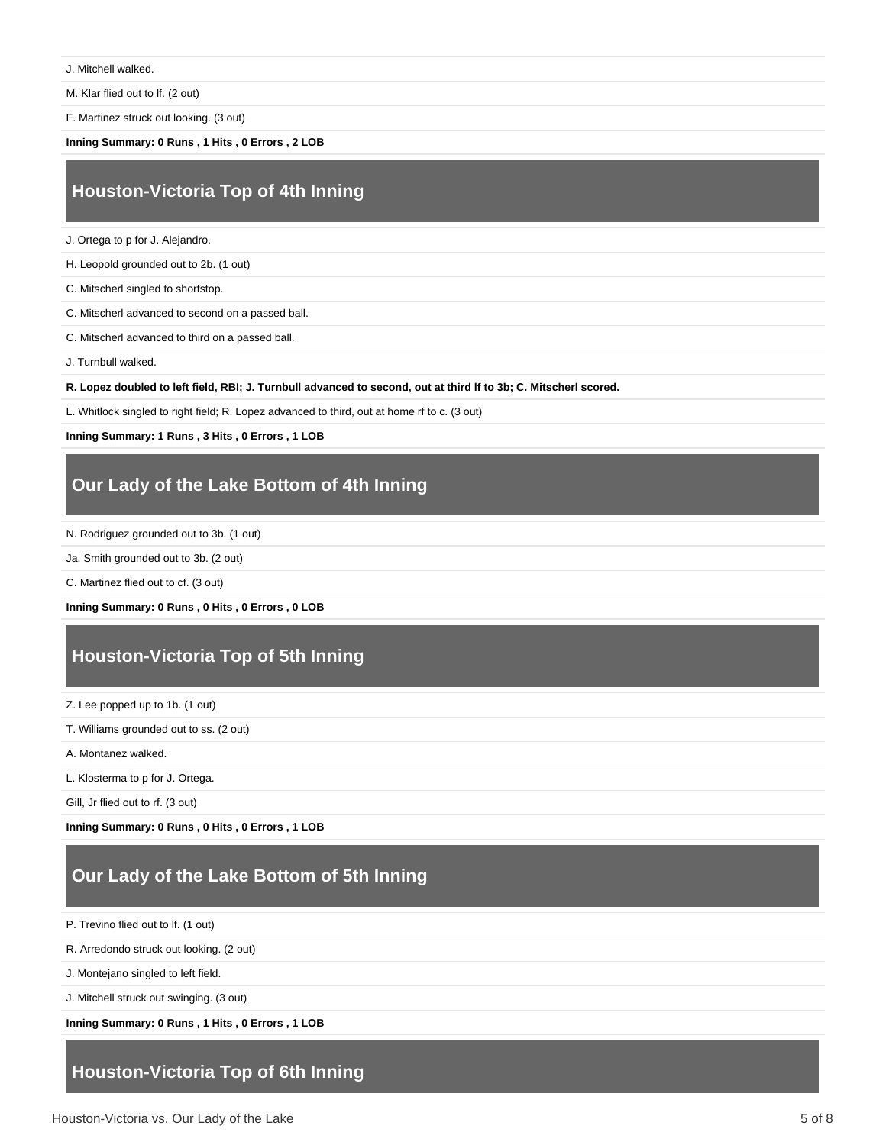J. Mitchell walked.

M. Klar flied out to lf. (2 out)

F. Martinez struck out looking. (3 out)

**Inning Summary: 0 Runs , 1 Hits , 0 Errors , 2 LOB**

### **Houston-Victoria Top of 4th Inning**

J. Ortega to p for J. Alejandro.

H. Leopold grounded out to 2b. (1 out)

C. Mitscherl singled to shortstop.

C. Mitscherl advanced to second on a passed ball.

C. Mitscherl advanced to third on a passed ball.

J. Turnbull walked.

**R. Lopez doubled to left field, RBI; J. Turnbull advanced to second, out at third lf to 3b; C. Mitscherl scored.**

L. Whitlock singled to right field; R. Lopez advanced to third, out at home rf to c. (3 out)

**Inning Summary: 1 Runs , 3 Hits , 0 Errors , 1 LOB**

#### **Our Lady of the Lake Bottom of 4th Inning**

N. Rodriguez grounded out to 3b. (1 out)

Ja. Smith grounded out to 3b. (2 out)

C. Martinez flied out to cf. (3 out)

**Inning Summary: 0 Runs , 0 Hits , 0 Errors , 0 LOB**

#### **Houston-Victoria Top of 5th Inning**

Z. Lee popped up to 1b. (1 out)

T. Williams grounded out to ss. (2 out)

A. Montanez walked.

L. Klosterma to p for J. Ortega.

Gill, Jr flied out to rf. (3 out)

**Inning Summary: 0 Runs , 0 Hits , 0 Errors , 1 LOB**

### **Our Lady of the Lake Bottom of 5th Inning**

P. Trevino flied out to lf. (1 out)

R. Arredondo struck out looking. (2 out)

J. Montejano singled to left field.

J. Mitchell struck out swinging. (3 out)

**Inning Summary: 0 Runs , 1 Hits , 0 Errors , 1 LOB**

#### **Houston-Victoria Top of 6th Inning**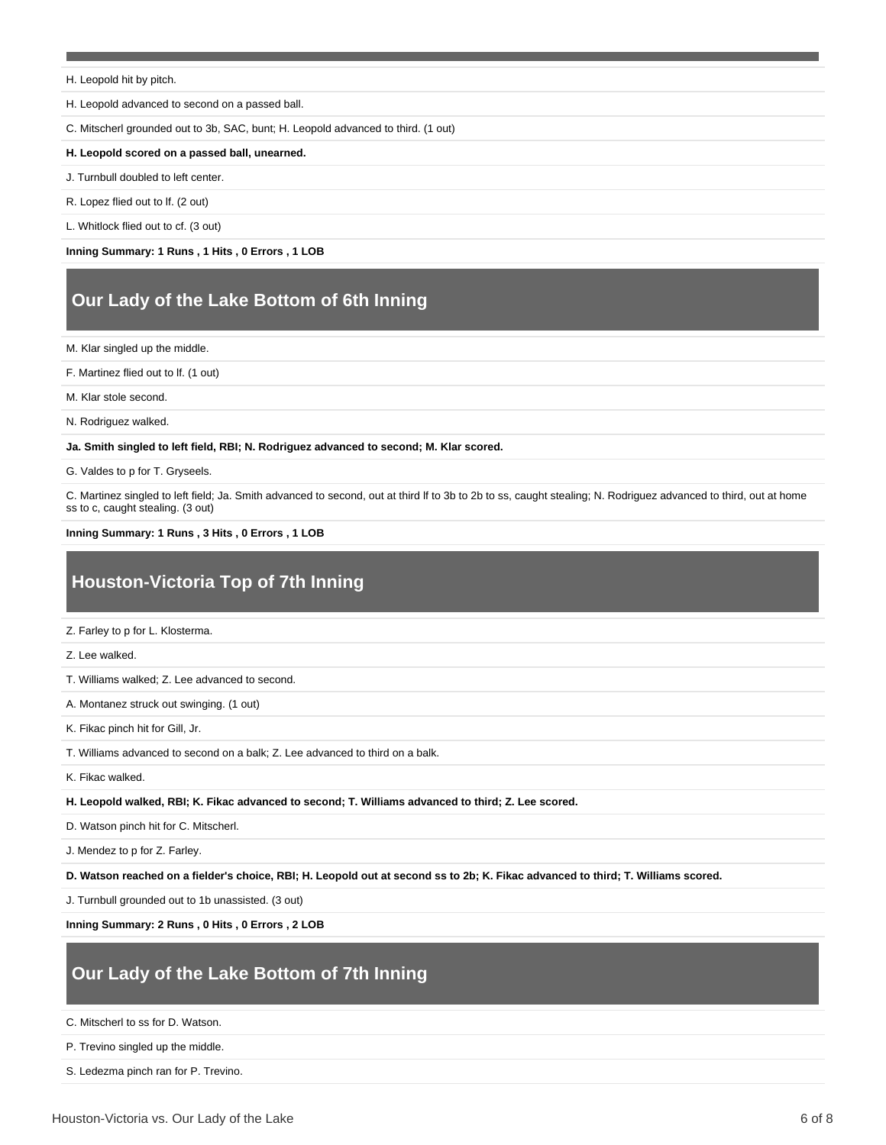H. Leopold hit by pitch.

H. Leopold advanced to second on a passed ball.

C. Mitscherl grounded out to 3b, SAC, bunt; H. Leopold advanced to third. (1 out)

#### **H. Leopold scored on a passed ball, unearned.**

J. Turnbull doubled to left center.

R. Lopez flied out to lf. (2 out)

L. Whitlock flied out to cf. (3 out)

**Inning Summary: 1 Runs , 1 Hits , 0 Errors , 1 LOB**

### **Our Lady of the Lake Bottom of 6th Inning**

M. Klar singled up the middle.

F. Martinez flied out to lf. (1 out)

M. Klar stole second.

N. Rodriguez walked.

**Ja. Smith singled to left field, RBI; N. Rodriguez advanced to second; M. Klar scored.**

G. Valdes to p for T. Gryseels.

C. Martinez singled to left field; Ja. Smith advanced to second, out at third lf to 3b to 2b to ss, caught stealing; N. Rodriguez advanced to third, out at home ss to c, caught stealing. (3 out)

#### **Inning Summary: 1 Runs , 3 Hits , 0 Errors , 1 LOB**

### **Houston-Victoria Top of 7th Inning**

Z. Farley to p for L. Klosterma.

Z. Lee walked.

T. Williams walked; Z. Lee advanced to second.

A. Montanez struck out swinging. (1 out)

K. Fikac pinch hit for Gill, Jr.

T. Williams advanced to second on a balk; Z. Lee advanced to third on a balk.

K. Fikac walked.

**H. Leopold walked, RBI; K. Fikac advanced to second; T. Williams advanced to third; Z. Lee scored.**

D. Watson pinch hit for C. Mitscherl.

J. Mendez to p for Z. Farley.

**D. Watson reached on a fielder's choice, RBI; H. Leopold out at second ss to 2b; K. Fikac advanced to third; T. Williams scored.**

J. Turnbull grounded out to 1b unassisted. (3 out)

**Inning Summary: 2 Runs , 0 Hits , 0 Errors , 2 LOB**

#### **Our Lady of the Lake Bottom of 7th Inning**

C. Mitscherl to ss for D. Watson.

P. Trevino singled up the middle.

S. Ledezma pinch ran for P. Trevino.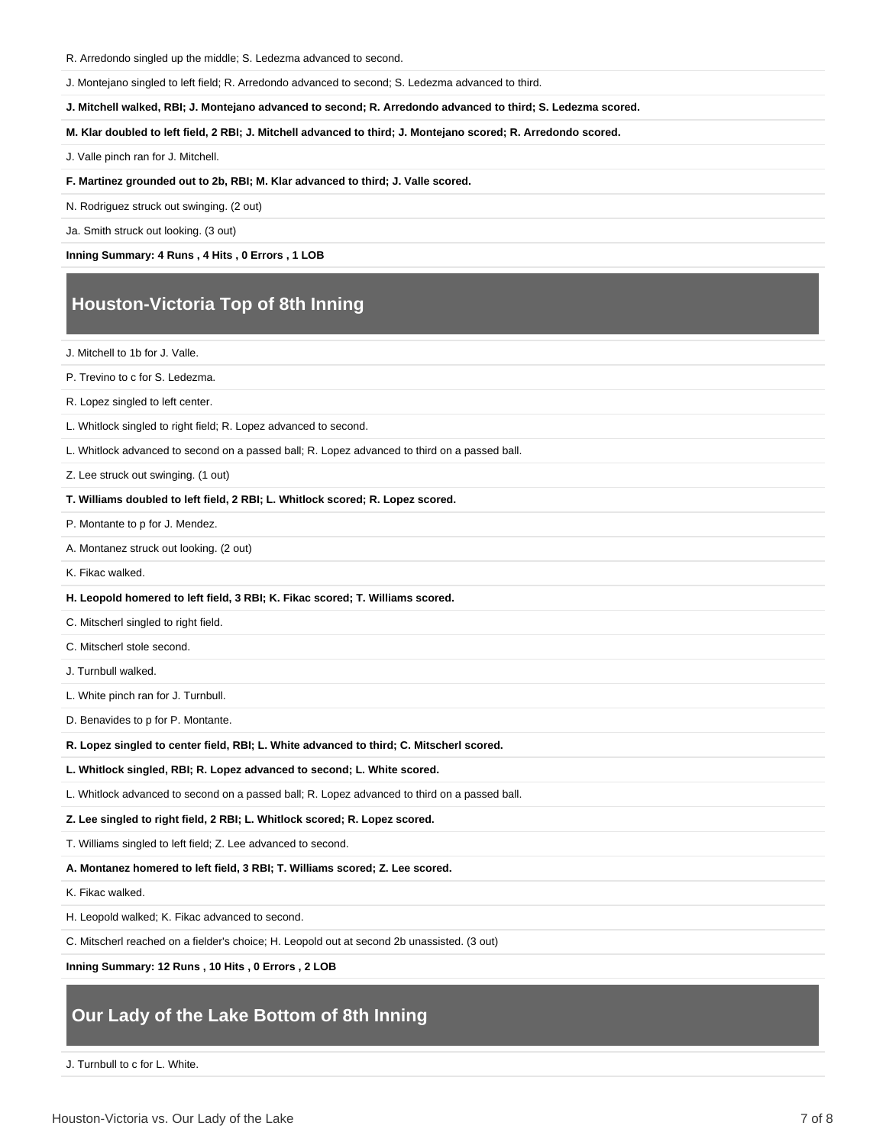#### R. Arredondo singled up the middle; S. Ledezma advanced to second.

J. Montejano singled to left field; R. Arredondo advanced to second; S. Ledezma advanced to third.

**J. Mitchell walked, RBI; J. Montejano advanced to second; R. Arredondo advanced to third; S. Ledezma scored.**

**M. Klar doubled to left field, 2 RBI; J. Mitchell advanced to third; J. Montejano scored; R. Arredondo scored.**

J. Valle pinch ran for J. Mitchell.

**F. Martinez grounded out to 2b, RBI; M. Klar advanced to third; J. Valle scored.**

N. Rodriguez struck out swinging. (2 out)

Ja. Smith struck out looking. (3 out)

**Inning Summary: 4 Runs , 4 Hits , 0 Errors , 1 LOB**

### **Houston-Victoria Top of 8th Inning**

J. Mitchell to 1b for J. Valle.

P. Trevino to c for S. Ledezma.

R. Lopez singled to left center.

L. Whitlock singled to right field; R. Lopez advanced to second.

L. Whitlock advanced to second on a passed ball; R. Lopez advanced to third on a passed ball.

Z. Lee struck out swinging. (1 out)

#### **T. Williams doubled to left field, 2 RBI; L. Whitlock scored; R. Lopez scored.**

P. Montante to p for J. Mendez.

A. Montanez struck out looking. (2 out)

K. Fikac walked.

#### **H. Leopold homered to left field, 3 RBI; K. Fikac scored; T. Williams scored.**

C. Mitscherl singled to right field.

C. Mitscherl stole second.

J. Turnbull walked.

L. White pinch ran for J. Turnbull.

D. Benavides to p for P. Montante.

**R. Lopez singled to center field, RBI; L. White advanced to third; C. Mitscherl scored.**

**L. Whitlock singled, RBI; R. Lopez advanced to second; L. White scored.**

L. Whitlock advanced to second on a passed ball; R. Lopez advanced to third on a passed ball.

**Z. Lee singled to right field, 2 RBI; L. Whitlock scored; R. Lopez scored.**

T. Williams singled to left field; Z. Lee advanced to second.

**A. Montanez homered to left field, 3 RBI; T. Williams scored; Z. Lee scored.**

K. Fikac walked.

H. Leopold walked; K. Fikac advanced to second.

C. Mitscherl reached on a fielder's choice; H. Leopold out at second 2b unassisted. (3 out)

**Inning Summary: 12 Runs , 10 Hits , 0 Errors , 2 LOB**

#### **Our Lady of the Lake Bottom of 8th Inning**

J. Turnbull to c for L. White.